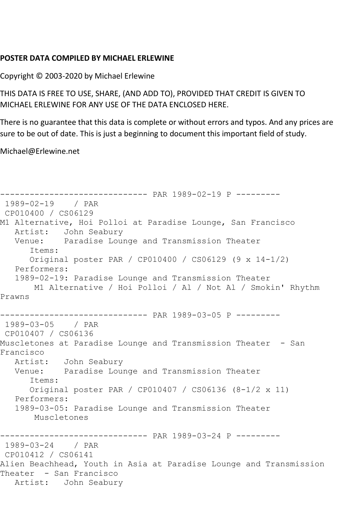## **POSTER DATA COMPILED BY MICHAEL ERLEWINE**

Copyright © 2003-2020 by Michael Erlewine

THIS DATA IS FREE TO USE, SHARE, (AND ADD TO), PROVIDED THAT CREDIT IS GIVEN TO MICHAEL ERLEWINE FOR ANY USE OF THE DATA ENCLOSED HERE.

There is no guarantee that this data is complete or without errors and typos. And any prices are sure to be out of date. This is just a beginning to document this important field of study.

Michael@Erlewine.net

```
------------------------------ PAR 1989-02-19 P ---------
1989-02-19 / PAR 
CP010400 / CS06129
M1 Alternative, Hoi Polloi at Paradise Lounge, San Francisco
   Artist: John Seabury
   Venue: Paradise Lounge and Transmission Theater
      Items:
      Original poster PAR / CP010400 / CS06129 (9 x 14-1/2)
   Performers:
   1989-02-19: Paradise Lounge and Transmission Theater
       M1 Alternative / Hoi Polloi / Al / Not Al / Smokin' Rhythm 
Prawns
------------------------------ PAR 1989-03-05 P ---------
1989-03-05 / PAR 
CP010407 / CS06136
Muscletones at Paradise Lounge and Transmission Theater - San 
Francisco
   Artist: John Seabury
   Venue: Paradise Lounge and Transmission Theater
      Items:
      Original poster PAR / CP010407 / CS06136 (8-1/2 x 11)
   Performers:
   1989-03-05: Paradise Lounge and Transmission Theater
       Muscletones
------------------------------ PAR 1989-03-24 P ---------
1989-03-24 / PAR 
CP010412 / CS06141
Alien Beachhead, Youth in Asia at Paradise Lounge and Transmission 
Theater - San Francisco
   Artist: John Seabury
```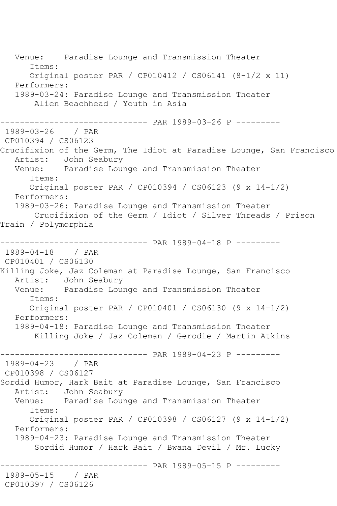Venue: Paradise Lounge and Transmission Theater Items: Original poster PAR / CP010412 / CS06141 (8-1/2 x 11) Performers: 1989-03-24: Paradise Lounge and Transmission Theater Alien Beachhead / Youth in Asia ------------------------------ PAR 1989-03-26 P --------- 1989-03-26 / PAR CP010394 / CS06123 Crucifixion of the Germ, The Idiot at Paradise Lounge, San Francisco Artist: John Seabury Venue: Paradise Lounge and Transmission Theater Items: Original poster PAR / CP010394 / CS06123 (9 x 14-1/2) Performers: 1989-03-26: Paradise Lounge and Transmission Theater Crucifixion of the Germ / Idiot / Silver Threads / Prison Train / Polymorphia ------------------------------ PAR 1989-04-18 P --------- 1989-04-18 / PAR CP010401 / CS06130 Killing Joke, Jaz Coleman at Paradise Lounge, San Francisco Artist: John Seabury<br>Venue: Paradise Lour Paradise Lounge and Transmission Theater Items: Original poster PAR / CP010401 / CS06130 (9 x 14-1/2) Performers: 1989-04-18: Paradise Lounge and Transmission Theater Killing Joke / Jaz Coleman / Gerodie / Martin Atkins ------------------------------ PAR 1989-04-23 P ---------  $1989 - 04 - 23$ CP010398 / CS06127 Sordid Humor, Hark Bait at Paradise Lounge, San Francisco Artist: John Seabury Venue: Paradise Lounge and Transmission Theater Items: Original poster PAR / CP010398 / CS06127 (9 x 14-1/2) Performers: 1989-04-23: Paradise Lounge and Transmission Theater Sordid Humor / Hark Bait / Bwana Devil / Mr. Lucky ------------------------------ PAR 1989-05-15 P --------- 1989-05-15 / PAR CP010397 / CS06126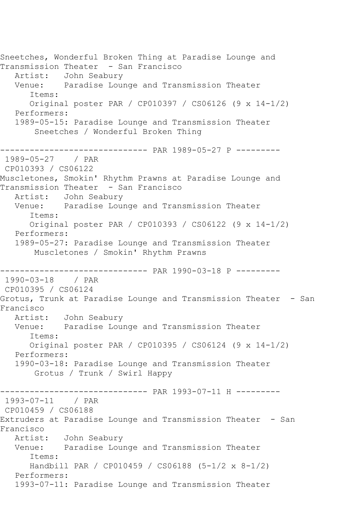Sneetches, Wonderful Broken Thing at Paradise Lounge and Transmission Theater - San Francisco Artist: John Seabury Venue: Paradise Lounge and Transmission Theater Items: Original poster PAR / CP010397 / CS06126 (9 x 14-1/2) Performers: 1989-05-15: Paradise Lounge and Transmission Theater Sneetches / Wonderful Broken Thing ------------------------------ PAR 1989-05-27 P --------- 1989-05-27 / PAR CP010393 / CS06122 Muscletones, Smokin' Rhythm Prawns at Paradise Lounge and Transmission Theater - San Francisco Artist: John Seabury Venue: Paradise Lounge and Transmission Theater Items: Original poster PAR / CP010393 / CS06122 (9 x 14-1/2) Performers: 1989-05-27: Paradise Lounge and Transmission Theater Muscletones / Smokin' Rhythm Prawns ------------------------------ PAR 1990-03-18 P --------- 1990-03-18 / PAR CP010395 / CS06124 Grotus, Trunk at Paradise Lounge and Transmission Theater - San Francisco Artist: John Seabury Venue: Paradise Lounge and Transmission Theater Items: Original poster PAR / CP010395 / CS06124 (9 x 14-1/2) Performers: 1990-03-18: Paradise Lounge and Transmission Theater Grotus / Trunk / Swirl Happy ------------------------------ PAR 1993-07-11 H --------- 1993-07-11 / PAR CP010459 / CS06188 Extruders at Paradise Lounge and Transmission Theater - San Francisco Artist: John Seabury Venue: Paradise Lounge and Transmission Theater Items: Handbill PAR / CP010459 / CS06188 (5-1/2 x 8-1/2) Performers: 1993-07-11: Paradise Lounge and Transmission Theater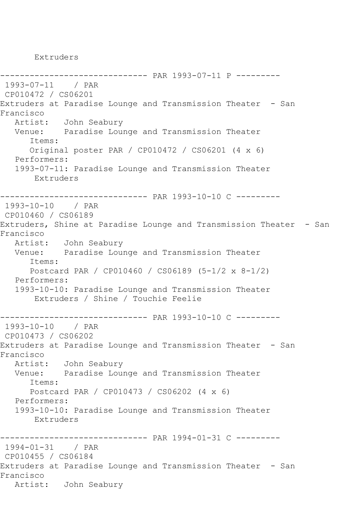Extruders

------------------------------ PAR 1993-07-11 P --------- 1993-07-11 / PAR CP010472 / CS06201 Extruders at Paradise Lounge and Transmission Theater - San Francisco John Seabury Venue: Paradise Lounge and Transmission Theater Items: Original poster PAR / CP010472 / CS06201 (4 x 6) Performers: 1993-07-11: Paradise Lounge and Transmission Theater Extruders ------------------------------ PAR 1993-10-10 C --------- 1993-10-10 / PAR CP010460 / CS06189 Extruders, Shine at Paradise Lounge and Transmission Theater - San Francisco John Seabury Venue: Paradise Lounge and Transmission Theater Items: Postcard PAR / CP010460 / CS06189 (5-1/2 x 8-1/2) Performers: 1993-10-10: Paradise Lounge and Transmission Theater Extruders / Shine / Touchie Feelie ------------------------------ PAR 1993-10-10 C --------- 1993-10-10 / PAR CP010473 / CS06202 Extruders at Paradise Lounge and Transmission Theater - San Francisco John Seabury Venue: Paradise Lounge and Transmission Theater Items: Postcard PAR / CP010473 / CS06202 (4 x 6) Performers: 1993-10-10: Paradise Lounge and Transmission Theater Extruders ------------------------------ PAR 1994-01-31 C --------- 1994-01-31 / PAR CP010455 / CS06184 Extruders at Paradise Lounge and Transmission Theater - San Francisco Artist: John Seabury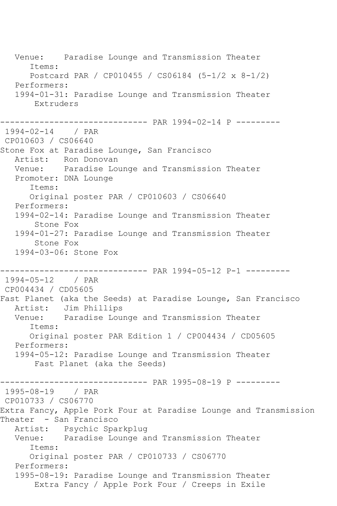Venue: Paradise Lounge and Transmission Theater Items: Postcard PAR / CP010455 / CS06184 (5-1/2 x 8-1/2) Performers: 1994-01-31: Paradise Lounge and Transmission Theater Extruders ------------------------------ PAR 1994-02-14 P --------- 1994-02-14 / PAR CP010603 / CS06640 Stone Fox at Paradise Lounge, San Francisco Artist: Ron Donovan<br>Venue: Paradise Lor Paradise Lounge and Transmission Theater Promoter: DNA Lounge Items: Original poster PAR / CP010603 / CS06640 Performers: 1994-02-14: Paradise Lounge and Transmission Theater Stone Fox 1994-01-27: Paradise Lounge and Transmission Theater Stone Fox 1994-03-06: Stone Fox ------------------------------ PAR 1994-05-12 P-1 --------- 1994-05-12 / PAR CP004434 / CD05605 Fast Planet (aka the Seeds) at Paradise Lounge, San Francisco Artist: Jim Phillips Venue: Paradise Lounge and Transmission Theater Items: Original poster PAR Edition 1 / CP004434 / CD05605 Performers: 1994-05-12: Paradise Lounge and Transmission Theater Fast Planet (aka the Seeds) ------------------------------ PAR 1995-08-19 P --------- 1995-08-19 / PAR CP010733 / CS06770 Extra Fancy, Apple Pork Four at Paradise Lounge and Transmission Theater - San Francisco Artist: Psychic Sparkplug Venue: Paradise Lounge and Transmission Theater Items: Original poster PAR / CP010733 / CS06770 Performers: 1995-08-19: Paradise Lounge and Transmission Theater Extra Fancy / Apple Pork Four / Creeps in Exile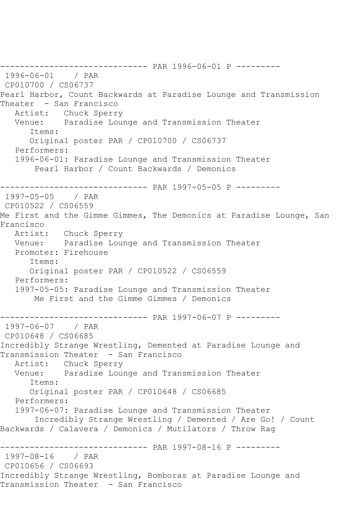------------------------------ PAR 1996-06-01 P --------- 1996-06-01 / PAR CP010700 / CS06737 Pearl Harbor, Count Backwards at Paradise Lounge and Transmission Theater - San Francisco Artist: Chuck Sperry Venue: Paradise Lounge and Transmission Theater Items: Original poster PAR / CP010700 / CS06737 Performers: 1996-06-01: Paradise Lounge and Transmission Theater Pearl Harbor / Count Backwards / Demonics ------------------------------ PAR 1997-05-05 P --------- 1997-05-05 / PAR CP010522 / CS06559 Me First and the Gimme Gimmes, The Demonics at Paradise Lounge, San Francisco Artist: Chuck Sperry Venue: Paradise Lounge and Transmission Theater Promoter: Firehouse Items: Original poster PAR / CP010522 / CS06559 Performers: 1997-05-05: Paradise Lounge and Transmission Theater Me First and the Gimme Gimmes / Demonics ------------------------------ PAR 1997-06-07 P --------- 1997-06-07 / PAR CP010648 / CS06685 Incredibly Strange Wrestling, Demented at Paradise Lounge and Transmission Theater - San Francisco Artist: Chuck Sperry Venue: Paradise Lounge and Transmission Theater Items: Original poster PAR / CP010648 / CS06685 Performers: 1997-06-07: Paradise Lounge and Transmission Theater Incredibly Strange Wrestling / Demented / Are Go! / Count Backwards / Calavera / Demonics / Mutilators / Throw Rag ------------------------------ PAR 1997-08-16 P --------- 1997-08-16 / PAR CP010656 / CS06693 Incredibly Strange Wrestling, Bomboras at Paradise Lounge and Transmission Theater - San Francisco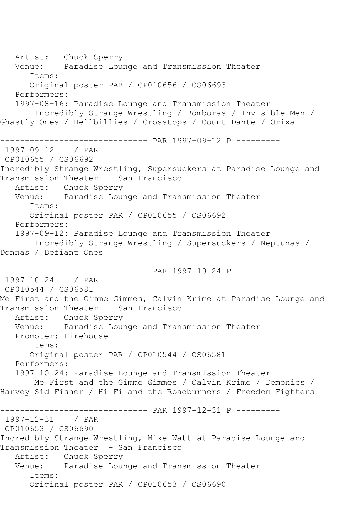Artist: Chuck Sperry Venue: Paradise Lounge and Transmission Theater Items: Original poster PAR / CP010656 / CS06693 Performers: 1997-08-16: Paradise Lounge and Transmission Theater Incredibly Strange Wrestling / Bomboras / Invisible Men / Ghastly Ones / Hellbillies / Crosstops / Count Dante / Orixa ------------------------------ PAR 1997-09-12 P --------- 1997-09-12 / PAR CP010655 / CS06692 Incredibly Strange Wrestling, Supersuckers at Paradise Lounge and Transmission Theater - San Francisco Artist: Chuck Sperry Venue: Paradise Lounge and Transmission Theater Items: Original poster PAR / CP010655 / CS06692 Performers: 1997-09-12: Paradise Lounge and Transmission Theater Incredibly Strange Wrestling / Supersuckers / Neptunas / Donnas / Defiant Ones ------------------------------ PAR 1997-10-24 P --------- 1997-10-24 / PAR CP010544 / CS06581 Me First and the Gimme Gimmes, Calvin Krime at Paradise Lounge and Transmission Theater - San Francisco Artist: Chuck Sperry Venue: Paradise Lounge and Transmission Theater Promoter: Firehouse Items: Original poster PAR / CP010544 / CS06581 Performers: 1997-10-24: Paradise Lounge and Transmission Theater Me First and the Gimme Gimmes / Calvin Krime / Demonics / Harvey Sid Fisher / Hi Fi and the Roadburners / Freedom Fighters ------------------------------ PAR 1997-12-31 P --------- 1997-12-31 / PAR CP010653 / CS06690 Incredibly Strange Wrestling, Mike Watt at Paradise Lounge and Transmission Theater - San Francisco Artist: Chuck Sperry Venue: Paradise Lounge and Transmission Theater Items: Original poster PAR / CP010653 / CS06690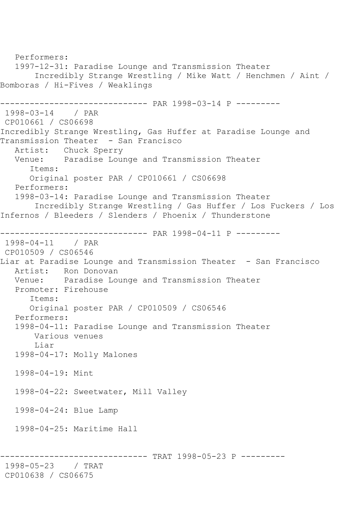```
 Performers:
   1997-12-31: Paradise Lounge and Transmission Theater
        Incredibly Strange Wrestling / Mike Watt / Henchmen / Aint / 
Bomboras / Hi-Fives / Weaklings
------------------------------ PAR 1998-03-14 P ---------
1998-03-14 / PAR 
CP010661 / CS06698
Incredibly Strange Wrestling, Gas Huffer at Paradise Lounge and 
Transmission Theater - San Francisco
 Artist: Chuck Sperry
 Venue: Paradise Lounge and Transmission Theater
      Items:
      Original poster PAR / CP010661 / CS06698
   Performers:
   1998-03-14: Paradise Lounge and Transmission Theater
        Incredibly Strange Wrestling / Gas Huffer / Los Fuckers / Los 
Infernos / Bleeders / Slenders / Phoenix / Thunderstone
------------------------------ PAR 1998-04-11 P ---------
1998-04-11 / PAR 
CP010509 / CS06546
Liar at Paradise Lounge and Transmission Theater - San Francisco
   Artist: Ron Donovan
   Venue: Paradise Lounge and Transmission Theater
   Promoter: Firehouse
      Items:
      Original poster PAR / CP010509 / CS06546
   Performers:
   1998-04-11: Paradise Lounge and Transmission Theater
       Various venues
       Liar
   1998-04-17: Molly Malones
   1998-04-19: Mint
   1998-04-22: Sweetwater, Mill Valley
   1998-04-24: Blue Lamp
   1998-04-25: Maritime Hall
    ------------------------------ TRAT 1998-05-23 P ---------
1998-05-23 / TRAT 
CP010638 / CS06675
```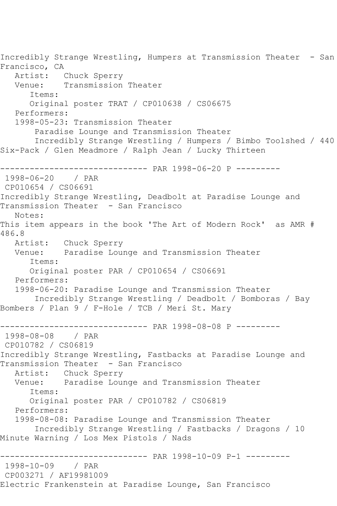Incredibly Strange Wrestling, Humpers at Transmission Theater - San Francisco, CA Artist: Chuck Sperry Venue: Transmission Theater Items: Original poster TRAT / CP010638 / CS06675 Performers: 1998-05-23: Transmission Theater Paradise Lounge and Transmission Theater Incredibly Strange Wrestling / Humpers / Bimbo Toolshed / 440 Six-Pack / Glen Meadmore / Ralph Jean / Lucky Thirteen ------------------------------ PAR 1998-06-20 P --------- 1998-06-20 / PAR CP010654 / CS06691 Incredibly Strange Wrestling, Deadbolt at Paradise Lounge and Transmission Theater - San Francisco Notes: This item appears in the book 'The Art of Modern Rock' as AMR # 486.8 Artist: Chuck Sperry Venue: Paradise Lounge and Transmission Theater Items: Original poster PAR / CP010654 / CS06691 Performers: 1998-06-20: Paradise Lounge and Transmission Theater Incredibly Strange Wrestling / Deadbolt / Bomboras / Bay Bombers / Plan 9 / F-Hole / TCB / Meri St. Mary ------------------------------ PAR 1998-08-08 P --------- 1998-08-08 / PAR CP010782 / CS06819 Incredibly Strange Wrestling, Fastbacks at Paradise Lounge and Transmission Theater - San Francisco Artist: Chuck Sperry Venue: Paradise Lounge and Transmission Theater Items: Original poster PAR / CP010782 / CS06819 Performers: 1998-08-08: Paradise Lounge and Transmission Theater Incredibly Strange Wrestling / Fastbacks / Dragons / 10 Minute Warning / Los Mex Pistols / Nads ------------------------------ PAR 1998-10-09 P-1 --------- 1998-10-09 / PAR CP003271 / AF19981009 Electric Frankenstein at Paradise Lounge, San Francisco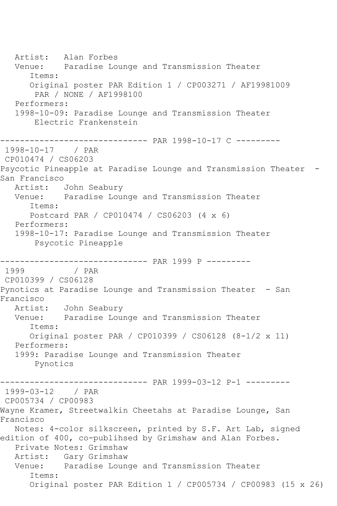Artist: Alan Forbes Venue: Paradise Lounge and Transmission Theater Items: Original poster PAR Edition 1 / CP003271 / AF19981009 PAR / NONE / AF1998100 Performers: 1998-10-09: Paradise Lounge and Transmission Theater Electric Frankenstein ------------------------------ PAR 1998-10-17 C --------- 1998-10-17 / PAR CP010474 / CS06203 Psycotic Pineapple at Paradise Lounge and Transmission Theater - San Francisco Artist: John Seabury Venue: Paradise Lounge and Transmission Theater Items: Postcard PAR / CP010474 / CS06203 (4 x 6) Performers: 1998-10-17: Paradise Lounge and Transmission Theater Psycotic Pineapple ------------------------------ PAR 1999 P --------- / PAR CP010399 / CS06128 Pynotics at Paradise Lounge and Transmission Theater - San Francisco John Seabury Venue: Paradise Lounge and Transmission Theater Items: Original poster PAR / CP010399 / CS06128 (8-1/2 x 11) Performers: 1999: Paradise Lounge and Transmission Theater Pynotics ------------------------------ PAR 1999-03-12 P-1 --------- 1999-03-12 / PAR CP005734 / CP00983 Wayne Kramer, Streetwalkin Cheetahs at Paradise Lounge, San Francisco Notes: 4-color silkscreen, printed by S.F. Art Lab, signed edition of 400, co-publihsed by Grimshaw and Alan Forbes. Private Notes: Grimshaw Artist: Gary Grimshaw Venue: Paradise Lounge and Transmission Theater Items: Original poster PAR Edition 1 / CP005734 / CP00983 (15 x 26)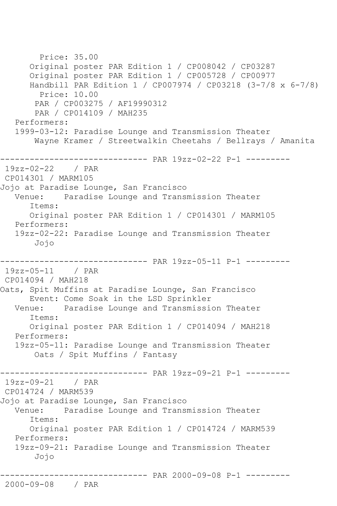Price: 35.00 Original poster PAR Edition 1 / CP008042 / CP03287 Original poster PAR Edition 1 / CP005728 / CP00977 Handbill PAR Edition 1 / CP007974 / CP03218 (3-7/8 x 6-7/8) Price: 10.00 PAR / CP003275 / AF19990312 PAR / CP014109 / MAH235 Performers: 1999-03-12: Paradise Lounge and Transmission Theater Wayne Kramer / Streetwalkin Cheetahs / Bellrays / Amanita -------------------- PAR 19zz-02-22 P-1 ---------<br>2 / PAR  $19zz-02-22$ CP014301 / MARM105 Jojo at Paradise Lounge, San Francisco Venue: Paradise Lounge and Transmission Theater Items: Original poster PAR Edition 1 / CP014301 / MARM105 Performers: 19zz-02-22: Paradise Lounge and Transmission Theater Jojo ------------------------------ PAR 19zz-05-11 P-1 --------- 19zz-05-11 / PAR CP014094 / MAH218 Oats, Spit Muffins at Paradise Lounge, San Francisco Event: Come Soak in the LSD Sprinkler Venue: Paradise Lounge and Transmission Theater Items: Original poster PAR Edition 1 / CP014094 / MAH218 Performers: 19zz-05-11: Paradise Lounge and Transmission Theater Oats / Spit Muffins / Fantasy ------------------------------ PAR 19zz-09-21 P-1 --------- 19zz-09-21 / PAR CP014724 / MARM539 Jojo at Paradise Lounge, San Francisco Venue: Paradise Lounge and Transmission Theater Items: Original poster PAR Edition 1 / CP014724 / MARM539 Performers: 19zz-09-21: Paradise Lounge and Transmission Theater Jojo ------------------------------ PAR 2000-09-08 P-1 --------- 2000-09-08 / PAR